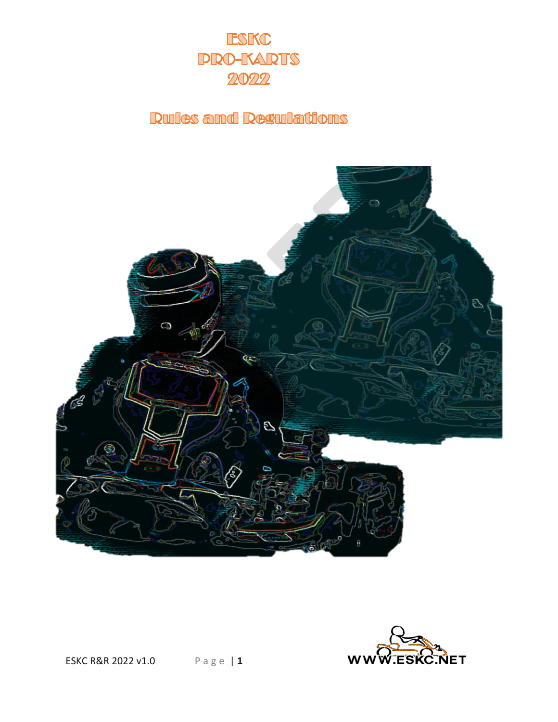

# **Rules and Regulations**





ESKC R&R 2022 v1.0 P a g e | **1**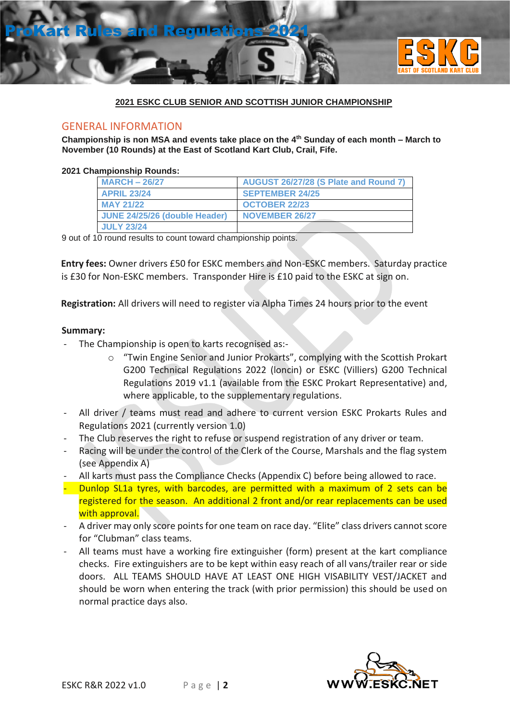

#### **2021 ESKC CLUB SENIOR AND SCOTTISH JUNIOR CHAMPIONSHIP**

#### GENERAL INFORMATION

**Championship is non MSA and events take place on the 4th Sunday of each month – March to November (10 Rounds) at the East of Scotland Kart Club, Crail, Fife.**

#### **2021 Championship Rounds:**

| $MARCH - 26/27$               | AUGUST 26/27/28 (S Plate and Round 7) |
|-------------------------------|---------------------------------------|
| <b>APRIL 23/24</b>            | <b>SEPTEMBER 24/25</b>                |
| <b>MAY 21/22</b>              | <b>OCTOBER 22/23</b>                  |
| JUNE 24/25/26 (double Header) | <b>NOVEMBER 26/27</b>                 |
| <b>JULY 23/24</b>             |                                       |

9 out of 10 round results to count toward championship points.

**Entry fees:** Owner drivers £50 for ESKC members and Non-ESKC members. Saturday practice is £30 for Non-ESKC members. Transponder Hire is £10 paid to the ESKC at sign on.

**Registration:** All drivers will need to register via Alpha Times 24 hours prior to the event

#### **Summary:**

- The Championship is open to karts recognised as:
	- o "Twin Engine Senior and Junior Prokarts", complying with the Scottish Prokart G200 Technical Regulations 2022 (loncin) or ESKC (Villiers) G200 Technical Regulations 2019 v1.1 (available from the ESKC Prokart Representative) and, where applicable, to the supplementary regulations.
- All driver / teams must read and adhere to current version ESKC Prokarts Rules and Regulations 2021 (currently version 1.0)
- The Club reserves the right to refuse or suspend registration of any driver or team.
- Racing will be under the control of the Clerk of the Course, Marshals and the flag system (see Appendix A)
- All karts must pass the Compliance Checks (Appendix C) before being allowed to race.
- Dunlop SL1a tyres, with barcodes, are permitted with a maximum of 2 sets can be registered for the season. An additional 2 front and/or rear replacements can be used with approval.
- A driver may only score points for one team on race day. "Elite" class drivers cannot score for "Clubman" class teams.
- All teams must have a working fire extinguisher (form) present at the kart compliance checks. Fire extinguishers are to be kept within easy reach of all vans/trailer rear or side doors. ALL TEAMS SHOULD HAVE AT LEAST ONE HIGH VISABILITY VEST/JACKET and should be worn when entering the track (with prior permission) this should be used on normal practice days also.

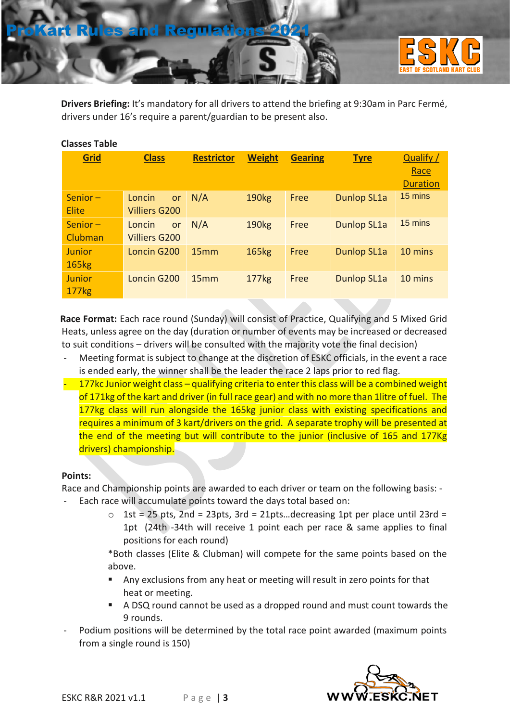

**Drivers Briefing:** It's mandatory for all drivers to attend the briefing at 9:30am in Parc Fermé, drivers under 16's require a parent/guardian to be present also.

| טושטעט ושמע                |                                             |                   |                   |                |                    |                                      |
|----------------------------|---------------------------------------------|-------------------|-------------------|----------------|--------------------|--------------------------------------|
| <b>Grid</b>                | <b>Class</b>                                | <b>Restrictor</b> | <b>Weight</b>     | <b>Gearing</b> | <b>Tyre</b>        | Qualify /<br>Race<br><b>Duration</b> |
| Senior $-$<br><b>Elite</b> | Loncin<br><b>or</b><br><b>Villiers G200</b> | N/A               | 190 <sub>kg</sub> | Free           | <b>Dunlop SL1a</b> | 15 mins                              |
| Senior-<br>Clubman         | Loncin<br><b>or</b><br><b>Villiers G200</b> | N/A               | <b>190kg</b>      | Free           | <b>Dunlop SL1a</b> | 15 mins                              |
| Junior<br><b>165kg</b>     | Loncin G200                                 | 15mm              | 165kg             | Free           | <b>Dunlop SL1a</b> | 10 mins                              |
| Junior<br><b>177kg</b>     | Loncin G200                                 | 15mm              | 177 <sub>kg</sub> | Free           | <b>Dunlop SL1a</b> | 10 mins                              |

# **Race Format:** Each race round (Sunday) will consist of Practice, Qualifying and 5 Mixed Grid Heats, unless agree on the day (duration or number of events may be increased or decreased

- to suit conditions drivers will be consulted with the majority vote the final decision)
- Meeting format is subject to change at the discretion of ESKC officials, in the event a race is ended early, the winner shall be the leader the race 2 laps prior to red flag.
- 177kc Junior weight class qualifying criteria to enter this class will be a combined weight of 171kg of the kart and driver (in full race gear) and with no more than 1litre of fuel. The 177kg class will run alongside the 165kg junior class with existing specifications and requires a minimum of 3 kart/drivers on the grid. A separate trophy will be presented at the end of the meeting but will contribute to the junior (inclusive of 165 and 177Kg drivers) championship.

#### **Points:**

**Classes Table**

Race and Championship points are awarded to each driver or team on the following basis: -

- Each race will accumulate points toward the days total based on:
	- $\circ$  1st = 25 pts, 2nd = 23pts, 3rd = 21pts... decreasing 1pt per place until 23rd = 1pt (24th -34th will receive 1 point each per race & same applies to final positions for each round)

\*Both classes (Elite & Clubman) will compete for the same points based on the above.

- **EXECT** Any exclusions from any heat or meeting will result in zero points for that heat or meeting.
- A DSQ round cannot be used as a dropped round and must count towards the 9 rounds.
- Podium positions will be determined by the total race point awarded (maximum points from a single round is 150)

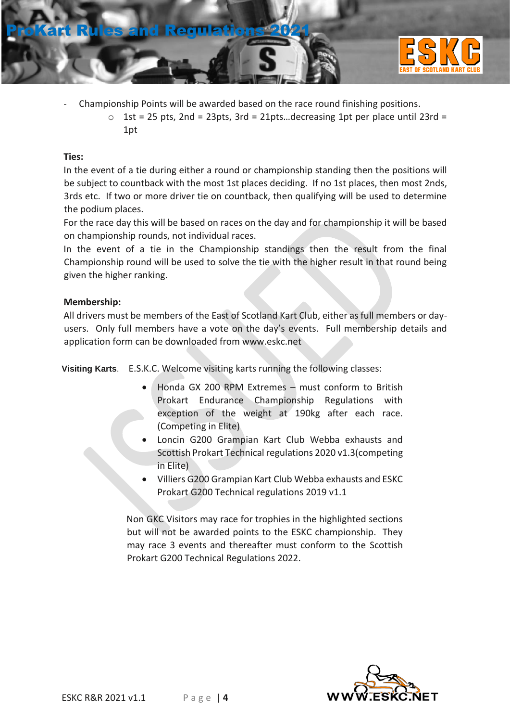



- Championship Points will be awarded based on the race round finishing positions.
	- $\circ$  1st = 25 pts, 2nd = 23pts, 3rd = 21pts... decreasing 1pt per place until 23rd = 1pt

#### **Ties:**

In the event of a tie during either a round or championship standing then the positions will be subject to countback with the most 1st places deciding. If no 1st places, then most 2nds, 3rds etc. If two or more driver tie on countback, then qualifying will be used to determine the podium places.

For the race day this will be based on races on the day and for championship it will be based on championship rounds, not individual races.

In the event of a tie in the Championship standings then the result from the final Championship round will be used to solve the tie with the higher result in that round being given the higher ranking.

#### **Membership:**

All drivers must be members of the East of Scotland Kart Club, either as full members or dayusers. Only full members have a vote on the day's events. Full membership details and application form can be downloaded from www.eskc.net

**Visiting Karts**. E.S.K.C. Welcome visiting karts running the following classes:

- Honda GX 200 RPM Extremes must conform to British Prokart Endurance Championship Regulations with exception of the weight at 190kg after each race. (Competing in Elite)
- Loncin G200 Grampian Kart Club Webba exhausts and Scottish Prokart Technical regulations 2020 v1.3(competing in Elite)
- Villiers G200 Grampian Kart Club Webba exhausts and ESKC Prokart G200 Technical regulations 2019 v1.1

Non GKC Visitors may race for trophies in the highlighted sections but will not be awarded points to the ESKC championship. They may race 3 events and thereafter must conform to the Scottish Prokart G200 Technical Regulations 2022.

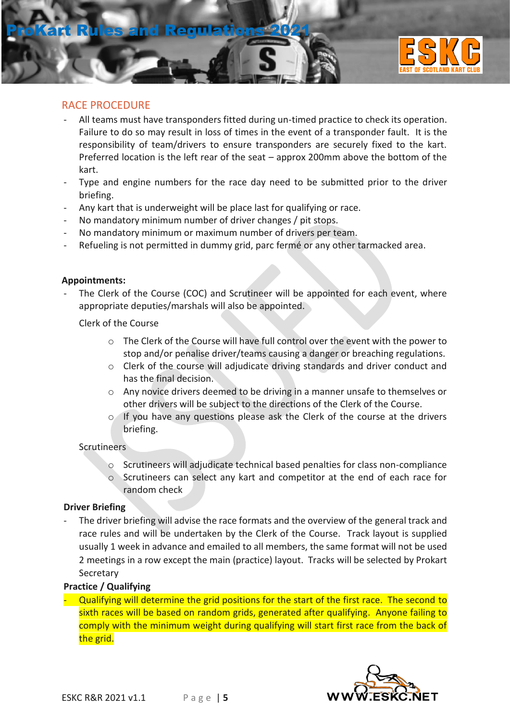

#### RACE PROCEDURE

- All teams must have transponders fitted during un-timed practice to check its operation. Failure to do so may result in loss of times in the event of a transponder fault. It is the responsibility of team/drivers to ensure transponders are securely fixed to the kart. Preferred location is the left rear of the seat – approx 200mm above the bottom of the kart.
- Type and engine numbers for the race day need to be submitted prior to the driver briefing.
- Any kart that is underweight will be place last for qualifying or race.
- No mandatory minimum number of driver changes / pit stops.

t Regula

- No mandatory minimum or maximum number of drivers per team.
- Refueling is not permitted in dummy grid, parc fermé or any other tarmacked area.

#### **Appointments:**

The Clerk of the Course (COC) and Scrutineer will be appointed for each event, where appropriate deputies/marshals will also be appointed.

Clerk of the Course

- $\circ$  The Clerk of the Course will have full control over the event with the power to stop and/or penalise driver/teams causing a danger or breaching regulations.
- o Clerk of the course will adjudicate driving standards and driver conduct and has the final decision.
- o Any novice drivers deemed to be driving in a manner unsafe to themselves or other drivers will be subject to the directions of the Clerk of the Course.
- o If you have any questions please ask the Clerk of the course at the drivers briefing.

#### **Scrutineers**

- o Scrutineers will adjudicate technical based penalties for class non-compliance
- o Scrutineers can select any kart and competitor at the end of each race for random check

#### **Driver Briefing**

The driver briefing will advise the race formats and the overview of the general track and race rules and will be undertaken by the Clerk of the Course. Track layout is supplied usually 1 week in advance and emailed to all members, the same format will not be used 2 meetings in a row except the main (practice) layout. Tracks will be selected by Prokart Secretary

#### **Practice / Qualifying**

Qualifying will determine the grid positions for the start of the first race. The second to sixth races will be based on random grids, generated after qualifying. Anyone failing to comply with the minimum weight during qualifying will start first race from the back of the grid.

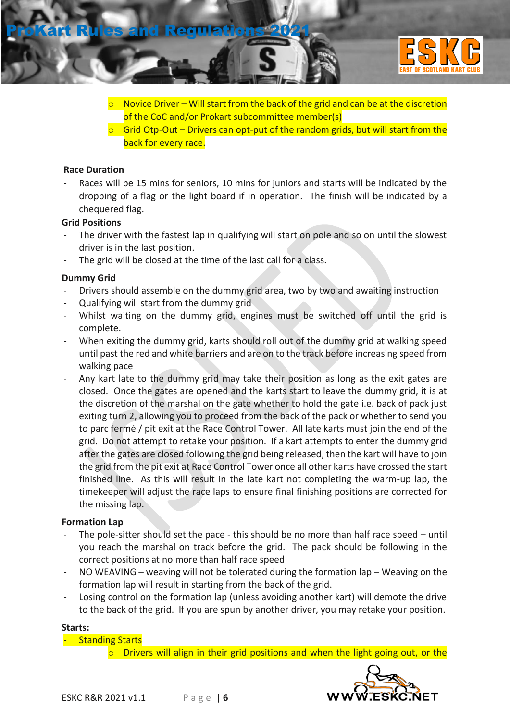

- $\circ$  Novice Driver Will start from the back of the grid and can be at the discretion of the CoC and/or Prokart subcommittee member(s)
- $\circ$  Grid Otp-Out Drivers can opt-put of the random grids, but will start from the back for every race.

#### **Race Duration**

Races will be 15 mins for seniors, 10 mins for juniors and starts will be indicated by the dropping of a flag or the light board if in operation. The finish will be indicated by a chequered flag.

#### **Grid Positions**

- The driver with the fastest lap in qualifying will start on pole and so on until the slowest driver is in the last position.
- The grid will be closed at the time of the last call for a class.

#### **Dummy Grid**

- Drivers should assemble on the dummy grid area, two by two and awaiting instruction
- Qualifying will start from the dummy grid
- Whilst waiting on the dummy grid, engines must be switched off until the grid is complete.
- When exiting the dummy grid, karts should roll out of the dummy grid at walking speed until past the red and white barriers and are on to the track before increasing speed from walking pace
- Any kart late to the dummy grid may take their position as long as the exit gates are closed. Once the gates are opened and the karts start to leave the dummy grid, it is at the discretion of the marshal on the gate whether to hold the gate i.e. back of pack just exiting turn 2, allowing you to proceed from the back of the pack or whether to send you to parc fermé / pit exit at the Race Control Tower. All late karts must join the end of the grid. Do not attempt to retake your position. If a kart attempts to enter the dummy grid after the gates are closed following the grid being released, then the kart will have to join the grid from the pit exit at Race Control Tower once all other karts have crossed the start finished line. As this will result in the late kart not completing the warm-up lap, the timekeeper will adjust the race laps to ensure final finishing positions are corrected for the missing lap.

#### **Formation Lap**

- The pole-sitter should set the pace this should be no more than half race speed until you reach the marshal on track before the grid. The pack should be following in the correct positions at no more than half race speed
- NO WEAVING weaving will not be tolerated during the formation lap Weaving on the formation lap will result in starting from the back of the grid.
- Losing control on the formation lap (unless avoiding another kart) will demote the drive to the back of the grid. If you are spun by another driver, you may retake your position.

#### **Starts:**

- Standing Starts
	- $\circ$  Drivers will align in their grid positions and when the light going out, or the

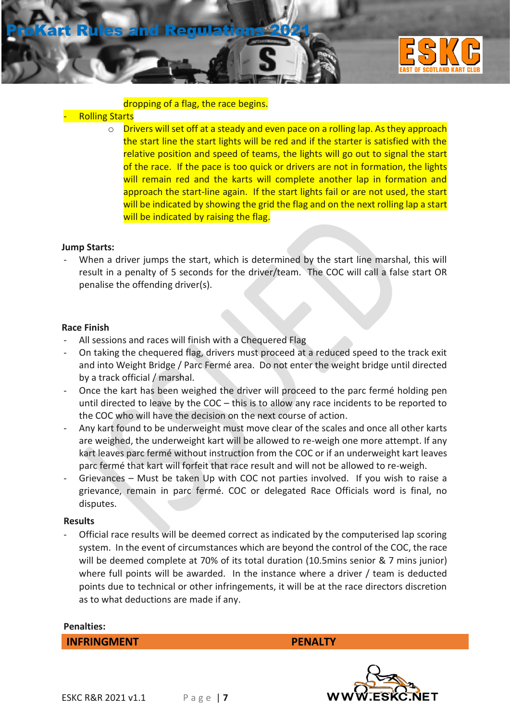

dropping of a flag, the race begins.

#### **Rolling Starts**

o Drivers will set off at a steady and even pace on a rolling lap. As they approach the start line the start lights will be red and if the starter is satisfied with the relative position and speed of teams, the lights will go out to signal the start of the race. If the pace is too quick or drivers are not in formation, the lights will remain red and the karts will complete another lap in formation and approach the start-line again. If the start lights fail or are not used, the start will be indicated by showing the grid the flag and on the next rolling lap a start will be indicated by raising the flag.

#### **Jump Starts:**

When a driver jumps the start, which is determined by the start line marshal, this will result in a penalty of 5 seconds for the driver/team. The COC will call a false start OR penalise the offending driver(s).

#### **Race Finish**

- All sessions and races will finish with a Chequered Flag
- On taking the chequered flag, drivers must proceed at a reduced speed to the track exit and into Weight Bridge / Parc Fermé area. Do not enter the weight bridge until directed by a track official / marshal.
- Once the kart has been weighed the driver will proceed to the parc fermé holding pen until directed to leave by the COC – this is to allow any race incidents to be reported to the COC who will have the decision on the next course of action.
- Any kart found to be underweight must move clear of the scales and once all other karts are weighed, the underweight kart will be allowed to re-weigh one more attempt. If any kart leaves parc fermé without instruction from the COC or if an underweight kart leaves parc fermé that kart will forfeit that race result and will not be allowed to re-weigh.
- Grievances Must be taken Up with COC not parties involved. If you wish to raise a grievance, remain in parc fermé. COC or delegated Race Officials word is final, no disputes.

#### **Results**

Official race results will be deemed correct as indicated by the computerised lap scoring system. In the event of circumstances which are beyond the control of the COC, the race will be deemed complete at 70% of its total duration (10.5mins senior & 7 mins junior) where full points will be awarded. In the instance where a driver / team is deducted points due to technical or other infringements, it will be at the race directors discretion as to what deductions are made if any.

**Penalties:**

**INFRINGMENT PENALTY** 

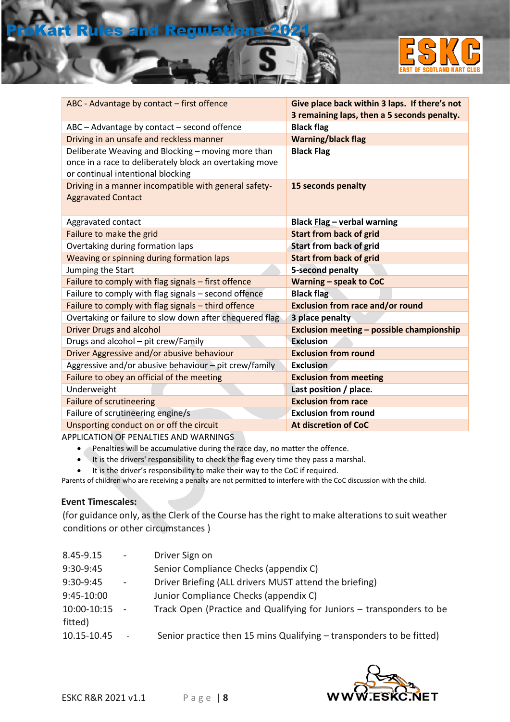

| ABC - Advantage by contact - first offence                                                                                                         | Give place back within 3 laps. If there's not<br>3 remaining laps, then a 5 seconds penalty. |
|----------------------------------------------------------------------------------------------------------------------------------------------------|----------------------------------------------------------------------------------------------|
| ABC - Advantage by contact - second offence                                                                                                        | <b>Black flag</b>                                                                            |
| Driving in an unsafe and reckless manner                                                                                                           | <b>Warning/black flag</b>                                                                    |
| Deliberate Weaving and Blocking - moving more than<br>once in a race to deliberately block an overtaking move<br>or continual intentional blocking | <b>Black Flag</b>                                                                            |
| Driving in a manner incompatible with general safety-<br><b>Aggravated Contact</b>                                                                 | 15 seconds penalty                                                                           |
| Aggravated contact                                                                                                                                 | Black Flag - verbal warning                                                                  |
| Failure to make the grid                                                                                                                           | <b>Start from back of grid</b>                                                               |
| Overtaking during formation laps                                                                                                                   | <b>Start from back of grid</b>                                                               |
| Weaving or spinning during formation laps                                                                                                          | <b>Start from back of grid</b>                                                               |
| Jumping the Start                                                                                                                                  | 5-second penalty                                                                             |
| Failure to comply with flag signals - first offence                                                                                                | Warning - speak to CoC                                                                       |
| Failure to comply with flag signals - second offence                                                                                               | <b>Black flag</b>                                                                            |
| Failure to comply with flag signals - third offence                                                                                                | <b>Exclusion from race and/or round</b>                                                      |
| Overtaking or failure to slow down after chequered flag                                                                                            | 3 place penalty                                                                              |
| <b>Driver Drugs and alcohol</b>                                                                                                                    | Exclusion meeting - possible championship                                                    |
| Drugs and alcohol - pit crew/Family                                                                                                                | <b>Exclusion</b>                                                                             |
| Driver Aggressive and/or abusive behaviour                                                                                                         | <b>Exclusion from round</b>                                                                  |
| Aggressive and/or abusive behaviour - pit crew/family                                                                                              | <b>Exclusion</b>                                                                             |
| Failure to obey an official of the meeting                                                                                                         | <b>Exclusion from meeting</b>                                                                |
| Underweight                                                                                                                                        | Last position / place.                                                                       |
| <b>Failure of scrutineering</b>                                                                                                                    | <b>Exclusion from race</b>                                                                   |
| Failure of scrutineering engine/s                                                                                                                  | <b>Exclusion from round</b>                                                                  |
| Unsporting conduct on or off the circuit                                                                                                           | <b>At discretion of CoC</b>                                                                  |

APPLICATION OF PENALTIES AND WARNINGS

- Penalties will be accumulative during the race day, no matter the offence.
- It is the drivers' responsibility to check the flag every time they pass a marshal.
- It is the driver's responsibility to make their way to the CoC if required.

Parents of children who are receiving a penalty are not permitted to interfere with the CoC discussion with the child.

#### **Event Timescales:**

(for guidance only, as the Clerk of the Course has the right to make alterations to suit weather conditions or other circumstances )

| 8.45-9.15              | $\overline{\phantom{0}}$ | Driver Sign on                                                       |
|------------------------|--------------------------|----------------------------------------------------------------------|
| 9:30-9:45              |                          | Senior Compliance Checks (appendix C)                                |
| 9:30-9:45              | $\overline{\phantom{0}}$ | Driver Briefing (ALL drivers MUST attend the briefing)               |
| 9:45-10:00             |                          | Junior Compliance Checks (appendix C)                                |
| 10:00-10:15<br>fitted) | $\sim$                   | Track Open (Practice and Qualifying for Juniors – transponders to be |
| 10.15-10.45            | $\overline{\phantom{a}}$ | Senior practice then 15 mins Qualifying - transponders to be fitted) |

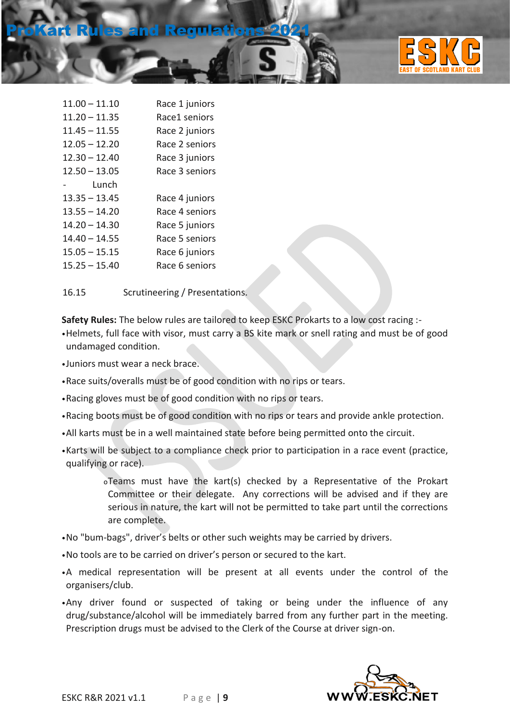



| $11.00 - 11.10$ | Race 1 juniors |
|-----------------|----------------|
| $11.20 - 11.35$ | Race1 seniors  |
| $11.45 - 11.55$ | Race 2 juniors |
| $12.05 - 12.20$ | Race 2 seniors |
| $12.30 - 12.40$ | Race 3 juniors |
| $12.50 - 13.05$ | Race 3 seniors |
| Lunch           |                |
| $13.35 - 13.45$ | Race 4 juniors |
| $13.55 - 14.20$ | Race 4 seniors |
| $14.20 - 14.30$ | Race 5 juniors |
| $14.40 - 14.55$ | Race 5 seniors |
| $15.05 - 15.15$ | Race 6 juniors |
| $15.25 - 15.40$ | Race 6 seniors |
|                 |                |

16.15 Scrutineering / Presentations.

**Safety Rules:** The below rules are tailored to keep ESKC Prokarts to a low cost racing :-

- •Helmets, full face with visor, must carry a BS kite mark or snell rating and must be of good undamaged condition.
- •Juniors must wear a neck brace.
- •Race suits/overalls must be of good condition with no rips or tears.
- •Racing gloves must be of good condition with no rips or tears.
- •Racing boots must be of good condition with no rips or tears and provide ankle protection.
- •All karts must be in a well maintained state before being permitted onto the circuit.
- •Karts will be subject to a compliance check prior to participation in a race event (practice, qualifying or race).
	- oTeams must have the kart(s) checked by a Representative of the Prokart Committee or their delegate. Any corrections will be advised and if they are serious in nature, the kart will not be permitted to take part until the corrections are complete.
- •No "bum-bags", driver's belts or other such weights may be carried by drivers.
- •No tools are to be carried on driver's person or secured to the kart.
- •A medical representation will be present at all events under the control of the organisers/club.
- •Any driver found or suspected of taking or being under the influence of any drug/substance/alcohol will be immediately barred from any further part in the meeting. Prescription drugs must be advised to the Clerk of the Course at driver sign-on.

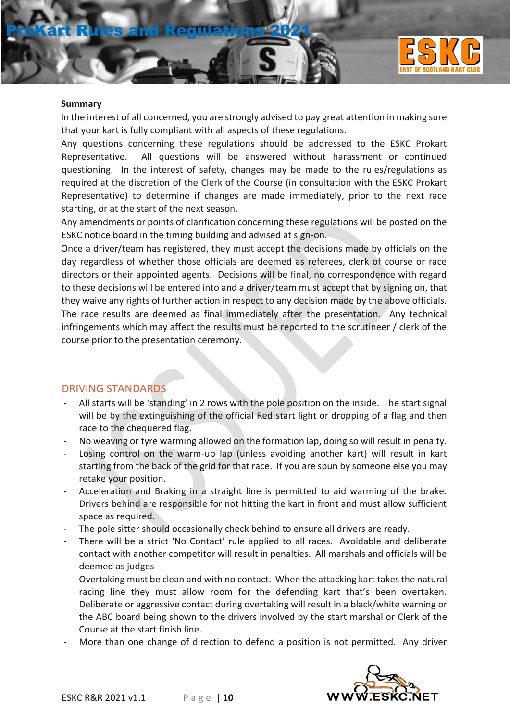

#### **Summary**

In the interest of all concerned, you are strongly advised to pay great attention in making sure that your kart is fully compliant with all aspects of these regulations.

Any questions concerning these regulations should be addressed to the ESKC Prokart Representative. All questions will be answered without harassment or continued questioning. In the interest of safety, changes may be made to the rules/regulations as required at the discretion of the Clerk of the Course (in consultation with the ESKC Prokart Representative) to determine if changes are made immediately, prior to the next race starting, or at the start of the next season.

Any amendments or points of clarification concerning these regulations will be posted on the ESKC notice board in the timing building and advised at sign-on.

Once a driver/team has registered, they must accept the decisions made by officials on the day regardless of whether those officials are deemed as referees, clerk of course or race directors or their appointed agents. Decisions will be final, no correspondence with regard to these decisions will be entered into and a driver/team must accept that by signing on, that they waive any rights of further action in respect to any decision made by the above officials. The race results are deemed as final immediately after the presentation. Any technical infringements which may affect the results must be reported to the scrutineer / clerk of the course prior to the presentation ceremony.

### DRIVING STANDARDS

- All starts will be 'standing' in 2 rows with the pole position on the inside. The start signal will be by the extinguishing of the official Red start light or dropping of a flag and then race to the chequered flag.
- No weaving or tyre warming allowed on the formation lap, doing so will result in penalty.
- Losing control on the warm-up lap (unless avoiding another kart) will result in kart starting from the back of the grid for that race. If you are spun by someone else you may retake your position.
- Acceleration and Braking in a straight line is permitted to aid warming of the brake. Drivers behind are responsible for not hitting the kart in front and must allow sufficient space as required.
- The pole sitter should occasionally check behind to ensure all drivers are ready.
- There will be a strict 'No Contact' rule applied to all races. Avoidable and deliberate contact with another competitor will result in penalties. All marshals and officials will be deemed as judges
- Overtaking must be clean and with no contact. When the attacking kart takes the natural racing line they must allow room for the defending kart that's been overtaken. Deliberate or aggressive contact during overtaking will result in a black/white warning or the ABC board being shown to the drivers involved by the start marshal or Clerk of the Course at the start finish line.
- More than one change of direction to defend a position is not permitted. Any driver

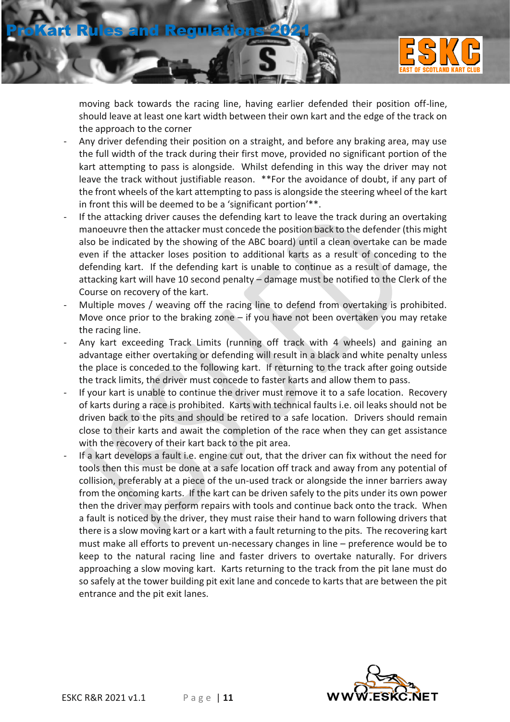

moving back towards the racing line, having earlier defended their position off-line, should leave at least one kart width between their own kart and the edge of the track on the approach to the corner

- Any driver defending their position on a straight, and before any braking area, may use the full width of the track during their first move, provided no significant portion of the kart attempting to pass is alongside. Whilst defending in this way the driver may not leave the track without justifiable reason. \*\*For the avoidance of doubt, if any part of the front wheels of the kart attempting to pass is alongside the steering wheel of the kart in front this will be deemed to be a 'significant portion'\*\*.
- If the attacking driver causes the defending kart to leave the track during an overtaking manoeuvre then the attacker must concede the position back to the defender (this might also be indicated by the showing of the ABC board) until a clean overtake can be made even if the attacker loses position to additional karts as a result of conceding to the defending kart. If the defending kart is unable to continue as a result of damage, the attacking kart will have 10 second penalty – damage must be notified to the Clerk of the Course on recovery of the kart.
- Multiple moves / weaving off the racing line to defend from overtaking is prohibited. Move once prior to the braking zone  $-$  if you have not been overtaken you may retake the racing line.
- Any kart exceeding Track Limits (running off track with 4 wheels) and gaining an advantage either overtaking or defending will result in a black and white penalty unless the place is conceded to the following kart. If returning to the track after going outside the track limits, the driver must concede to faster karts and allow them to pass.
- If your kart is unable to continue the driver must remove it to a safe location. Recovery of karts during a race is prohibited. Karts with technical faults i.e. oil leaks should not be driven back to the pits and should be retired to a safe location. Drivers should remain close to their karts and await the completion of the race when they can get assistance with the recovery of their kart back to the pit area.
- If a kart develops a fault i.e. engine cut out, that the driver can fix without the need for tools then this must be done at a safe location off track and away from any potential of collision, preferably at a piece of the un-used track or alongside the inner barriers away from the oncoming karts. If the kart can be driven safely to the pits under its own power then the driver may perform repairs with tools and continue back onto the track. When a fault is noticed by the driver, they must raise their hand to warn following drivers that there is a slow moving kart or a kart with a fault returning to the pits. The recovering kart must make all efforts to prevent un-necessary changes in line – preference would be to keep to the natural racing line and faster drivers to overtake naturally. For drivers approaching a slow moving kart. Karts returning to the track from the pit lane must do so safely at the tower building pit exit lane and concede to karts that are between the pit entrance and the pit exit lanes.

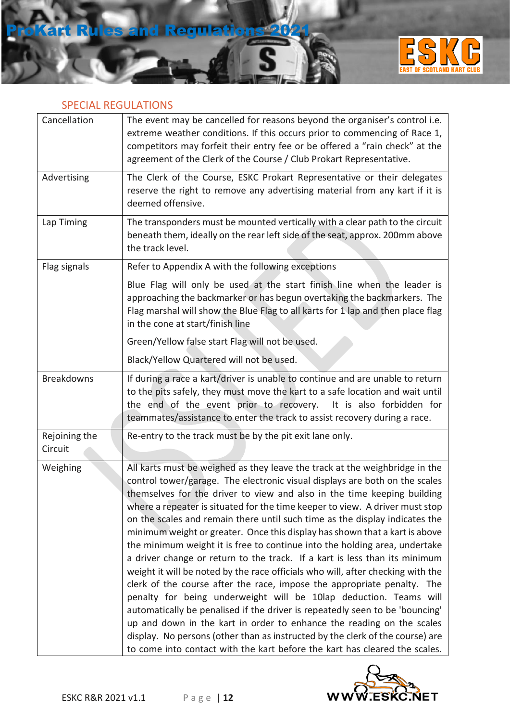

# SPECIAL REGULATIONS

| Cancellation             | The event may be cancelled for reasons beyond the organiser's control i.e.<br>extreme weather conditions. If this occurs prior to commencing of Race 1,<br>competitors may forfeit their entry fee or be offered a "rain check" at the<br>agreement of the Clerk of the Course / Club Prokart Representative.                                                                                                                                                                                                                                                                                                                                                                                                                                                                                                                                                                                                                                                                                                                                                                                                                                                                                              |
|--------------------------|------------------------------------------------------------------------------------------------------------------------------------------------------------------------------------------------------------------------------------------------------------------------------------------------------------------------------------------------------------------------------------------------------------------------------------------------------------------------------------------------------------------------------------------------------------------------------------------------------------------------------------------------------------------------------------------------------------------------------------------------------------------------------------------------------------------------------------------------------------------------------------------------------------------------------------------------------------------------------------------------------------------------------------------------------------------------------------------------------------------------------------------------------------------------------------------------------------|
| Advertising              | The Clerk of the Course, ESKC Prokart Representative or their delegates<br>reserve the right to remove any advertising material from any kart if it is<br>deemed offensive.                                                                                                                                                                                                                                                                                                                                                                                                                                                                                                                                                                                                                                                                                                                                                                                                                                                                                                                                                                                                                                |
| Lap Timing               | The transponders must be mounted vertically with a clear path to the circuit<br>beneath them, ideally on the rear left side of the seat, approx. 200mm above<br>the track level.                                                                                                                                                                                                                                                                                                                                                                                                                                                                                                                                                                                                                                                                                                                                                                                                                                                                                                                                                                                                                           |
| Flag signals             | Refer to Appendix A with the following exceptions                                                                                                                                                                                                                                                                                                                                                                                                                                                                                                                                                                                                                                                                                                                                                                                                                                                                                                                                                                                                                                                                                                                                                          |
|                          | Blue Flag will only be used at the start finish line when the leader is<br>approaching the backmarker or has begun overtaking the backmarkers. The<br>Flag marshal will show the Blue Flag to all karts for 1 lap and then place flag<br>in the cone at start/finish line                                                                                                                                                                                                                                                                                                                                                                                                                                                                                                                                                                                                                                                                                                                                                                                                                                                                                                                                  |
|                          | Green/Yellow false start Flag will not be used.                                                                                                                                                                                                                                                                                                                                                                                                                                                                                                                                                                                                                                                                                                                                                                                                                                                                                                                                                                                                                                                                                                                                                            |
|                          | Black/Yellow Quartered will not be used.                                                                                                                                                                                                                                                                                                                                                                                                                                                                                                                                                                                                                                                                                                                                                                                                                                                                                                                                                                                                                                                                                                                                                                   |
| <b>Breakdowns</b>        | If during a race a kart/driver is unable to continue and are unable to return<br>to the pits safely, they must move the kart to a safe location and wait until<br>the end of the event prior to recovery. It is also forbidden for<br>teammates/assistance to enter the track to assist recovery during a race.                                                                                                                                                                                                                                                                                                                                                                                                                                                                                                                                                                                                                                                                                                                                                                                                                                                                                            |
| Rejoining the<br>Circuit | Re-entry to the track must be by the pit exit lane only.                                                                                                                                                                                                                                                                                                                                                                                                                                                                                                                                                                                                                                                                                                                                                                                                                                                                                                                                                                                                                                                                                                                                                   |
| Weighing                 | All karts must be weighed as they leave the track at the weighbridge in the<br>control tower/garage. The electronic visual displays are both on the scales<br>themselves for the driver to view and also in the time keeping building<br>where a repeater is situated for the time keeper to view. A driver must stop<br>on the scales and remain there until such time as the display indicates the<br>minimum weight or greater. Once this display has shown that a kart is above<br>the minimum weight it is free to continue into the holding area, undertake<br>a driver change or return to the track. If a kart is less than its minimum<br>weight it will be noted by the race officials who will, after checking with the<br>clerk of the course after the race, impose the appropriate penalty. The<br>penalty for being underweight will be 10lap deduction. Teams will<br>automatically be penalised if the driver is repeatedly seen to be 'bouncing'<br>up and down in the kart in order to enhance the reading on the scales<br>display. No persons (other than as instructed by the clerk of the course) are<br>to come into contact with the kart before the kart has cleared the scales. |

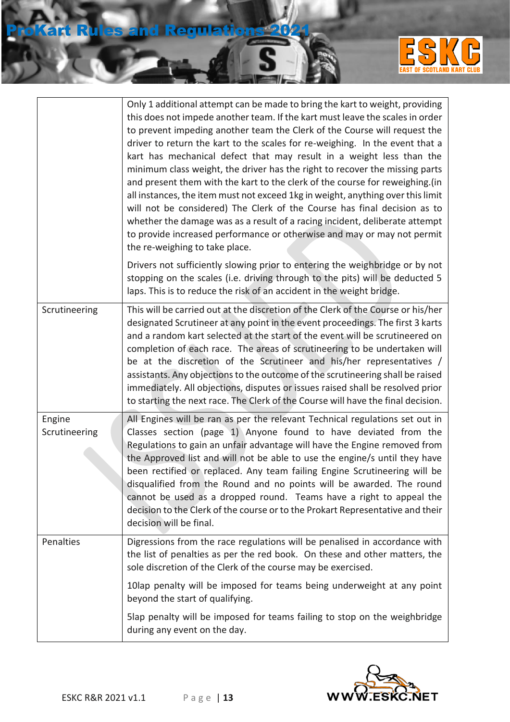**Rules and Regulations** 



|                         | Only 1 additional attempt can be made to bring the kart to weight, providing<br>this does not impede another team. If the kart must leave the scales in order<br>to prevent impeding another team the Clerk of the Course will request the<br>driver to return the kart to the scales for re-weighing. In the event that a<br>kart has mechanical defect that may result in a weight less than the<br>minimum class weight, the driver has the right to recover the missing parts<br>and present them with the kart to the clerk of the course for reweighing. (in<br>all instances, the item must not exceed 1kg in weight, anything over this limit<br>will not be considered) The Clerk of the Course has final decision as to<br>whether the damage was as a result of a racing incident, deliberate attempt<br>to provide increased performance or otherwise and may or may not permit<br>the re-weighing to take place. |
|-------------------------|-------------------------------------------------------------------------------------------------------------------------------------------------------------------------------------------------------------------------------------------------------------------------------------------------------------------------------------------------------------------------------------------------------------------------------------------------------------------------------------------------------------------------------------------------------------------------------------------------------------------------------------------------------------------------------------------------------------------------------------------------------------------------------------------------------------------------------------------------------------------------------------------------------------------------------|
|                         | Drivers not sufficiently slowing prior to entering the weighbridge or by not<br>stopping on the scales (i.e. driving through to the pits) will be deducted 5<br>laps. This is to reduce the risk of an accident in the weight bridge.                                                                                                                                                                                                                                                                                                                                                                                                                                                                                                                                                                                                                                                                                         |
| Scrutineering           | This will be carried out at the discretion of the Clerk of the Course or his/her<br>designated Scrutineer at any point in the event proceedings. The first 3 karts<br>and a random kart selected at the start of the event will be scrutineered on<br>completion of each race. The areas of scrutineering to be undertaken will<br>be at the discretion of the Scrutineer and his/her representatives /<br>assistants. Any objections to the outcome of the scrutineering shall be raised<br>immediately. All objections, disputes or issues raised shall be resolved prior<br>to starting the next race. The Clerk of the Course will have the final decision.                                                                                                                                                                                                                                                               |
| Engine<br>Scrutineering | All Engines will be ran as per the relevant Technical regulations set out in<br>Classes section (page 1) Anyone found to have deviated from the<br>Regulations to gain an unfair advantage will have the Engine removed from<br>the Approved list and will not be able to use the engine/s until they have<br>been rectified or replaced. Any team failing Engine Scrutineering will be<br>disqualified from the Round and no points will be awarded. The round<br>cannot be used as a dropped round. Teams have a right to appeal the<br>decision to the Clerk of the course or to the Prokart Representative and their<br>decision will be final.                                                                                                                                                                                                                                                                           |
| Penalties               | Digressions from the race regulations will be penalised in accordance with<br>the list of penalties as per the red book. On these and other matters, the<br>sole discretion of the Clerk of the course may be exercised.                                                                                                                                                                                                                                                                                                                                                                                                                                                                                                                                                                                                                                                                                                      |
|                         | 10lap penalty will be imposed for teams being underweight at any point<br>beyond the start of qualifying.                                                                                                                                                                                                                                                                                                                                                                                                                                                                                                                                                                                                                                                                                                                                                                                                                     |
|                         | 5 lap penalty will be imposed for teams failing to stop on the weighbridge<br>during any event on the day.                                                                                                                                                                                                                                                                                                                                                                                                                                                                                                                                                                                                                                                                                                                                                                                                                    |

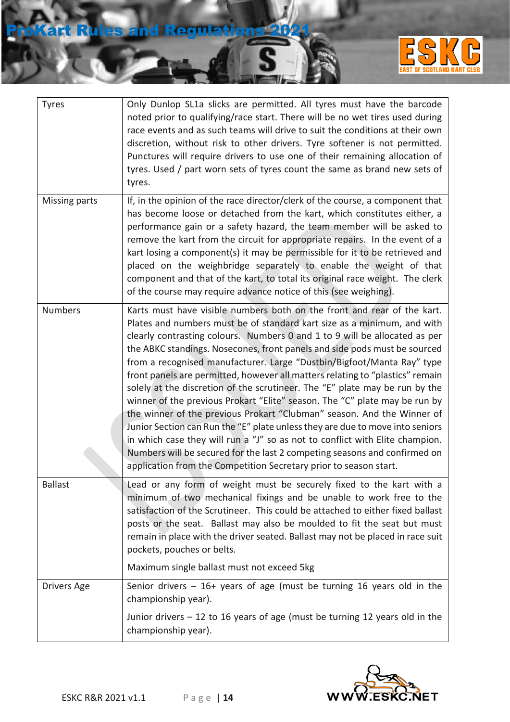**Rules and Regulations** 



| <b>Tyres</b>   | Only Dunlop SL1a slicks are permitted. All tyres must have the barcode<br>noted prior to qualifying/race start. There will be no wet tires used during<br>race events and as such teams will drive to suit the conditions at their own<br>discretion, without risk to other drivers. Tyre softener is not permitted.<br>Punctures will require drivers to use one of their remaining allocation of<br>tyres. Used / part worn sets of tyres count the same as brand new sets of<br>tyres.                                                                                                                                                                                                                                                                                                                                                                                                                                                                                                                                          |
|----------------|------------------------------------------------------------------------------------------------------------------------------------------------------------------------------------------------------------------------------------------------------------------------------------------------------------------------------------------------------------------------------------------------------------------------------------------------------------------------------------------------------------------------------------------------------------------------------------------------------------------------------------------------------------------------------------------------------------------------------------------------------------------------------------------------------------------------------------------------------------------------------------------------------------------------------------------------------------------------------------------------------------------------------------|
| Missing parts  | If, in the opinion of the race director/clerk of the course, a component that<br>has become loose or detached from the kart, which constitutes either, a<br>performance gain or a safety hazard, the team member will be asked to<br>remove the kart from the circuit for appropriate repairs. In the event of a<br>kart losing a component(s) it may be permissible for it to be retrieved and<br>placed on the weighbridge separately to enable the weight of that<br>component and that of the kart, to total its original race weight. The clerk<br>of the course may require advance notice of this (see weighing).                                                                                                                                                                                                                                                                                                                                                                                                           |
| <b>Numbers</b> | Karts must have visible numbers both on the front and rear of the kart.<br>Plates and numbers must be of standard kart size as a minimum, and with<br>clearly contrasting colours. Numbers 0 and 1 to 9 will be allocated as per<br>the ABKC standings. Nosecones, front panels and side pods must be sourced<br>from a recognised manufacturer. Large "Dustbin/Bigfoot/Manta Ray" type<br>front panels are permitted, however all matters relating to "plastics" remain<br>solely at the discretion of the scrutineer. The "E" plate may be run by the<br>winner of the previous Prokart "Elite" season. The "C" plate may be run by<br>the winner of the previous Prokart "Clubman" season. And the Winner of<br>Junior Section can Run the "E" plate unless they are due to move into seniors<br>in which case they will run a "J" so as not to conflict with Elite champion.<br>Numbers will be secured for the last 2 competing seasons and confirmed on<br>application from the Competition Secretary prior to season start. |
| <b>Ballast</b> | Lead or any form of weight must be securely fixed to the kart with a<br>minimum of two mechanical fixings and be unable to work free to the<br>satisfaction of the Scrutineer. This could be attached to either fixed ballast<br>posts or the seat. Ballast may also be moulded to fit the seat but must<br>remain in place with the driver seated. Ballast may not be placed in race suit<br>pockets, pouches or belts.<br>Maximum single ballast must not exceed 5kg                                                                                                                                                                                                                                                                                                                                                                                                                                                                                                                                                             |
| Drivers Age    | Senior drivers $-16+$ years of age (must be turning 16 years old in the<br>championship year).<br>Junior drivers $-12$ to 16 years of age (must be turning 12 years old in the<br>championship year).                                                                                                                                                                                                                                                                                                                                                                                                                                                                                                                                                                                                                                                                                                                                                                                                                              |

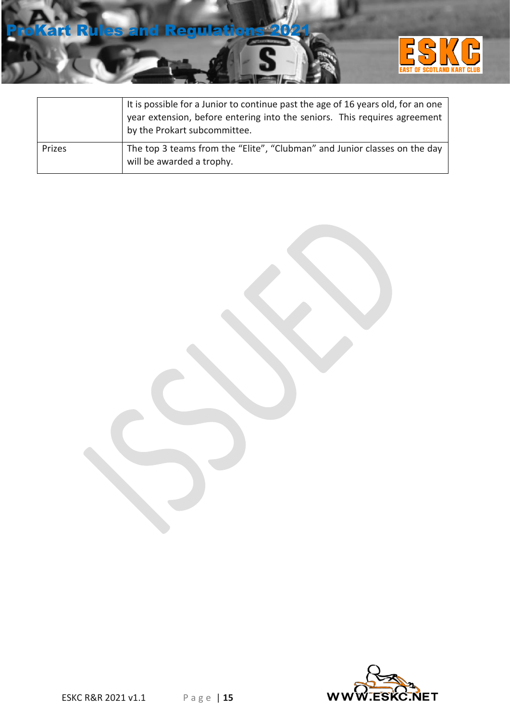



|        | It is possible for a Junior to continue past the age of 16 years old, for an one<br>year extension, before entering into the seniors. This requires agreement<br>by the Prokart subcommittee. |
|--------|-----------------------------------------------------------------------------------------------------------------------------------------------------------------------------------------------|
| Prizes | The top 3 teams from the "Elite", "Clubman" and Junior classes on the day<br>will be awarded a trophy.                                                                                        |



ESKC R&R 2021 v1.1 P a g e | **15**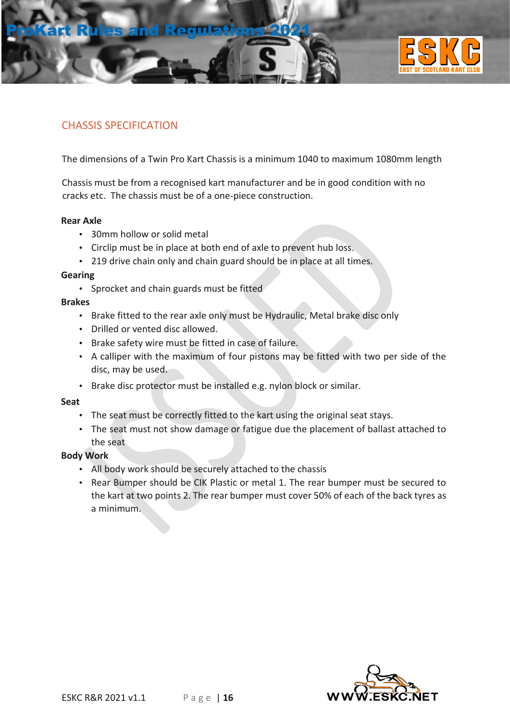

## CHASSIS SPECIFICATION

The dimensions of a Twin Pro Kart Chassis is a minimum 1040 to maximum 1080mm length

Chassis must be from a recognised kart manufacturer and be in good condition with no cracks etc. The chassis must be of a one-piece construction.

#### **Rear Axle**

- 30mm hollow or solid metal
- Circlip must be in place at both end of axle to prevent hub loss.
- 219 drive chain only and chain guard should be in place at all times.

#### **Gearing**

• Sprocket and chain guards must be fitted

#### **Brakes**

- Brake fitted to the rear axle only must be Hydraulic, Metal brake disc only
- Drilled or vented disc allowed.
- Brake safety wire must be fitted in case of failure.
- A calliper with the maximum of four pistons may be fitted with two per side of the disc, may be used.
- Brake disc protector must be installed e.g. nylon block or similar.

#### **Seat**

- The seat must be correctly fitted to the kart using the original seat stays.
- The seat must not show damage or fatigue due the placement of ballast attached to the seat

#### **Body Work**

- All body work should be securely attached to the chassis
- Rear Bumper should be CIK Plastic or metal 1. The rear bumper must be secured to the kart at two points 2. The rear bumper must cover 50% of each of the back tyres as a minimum.

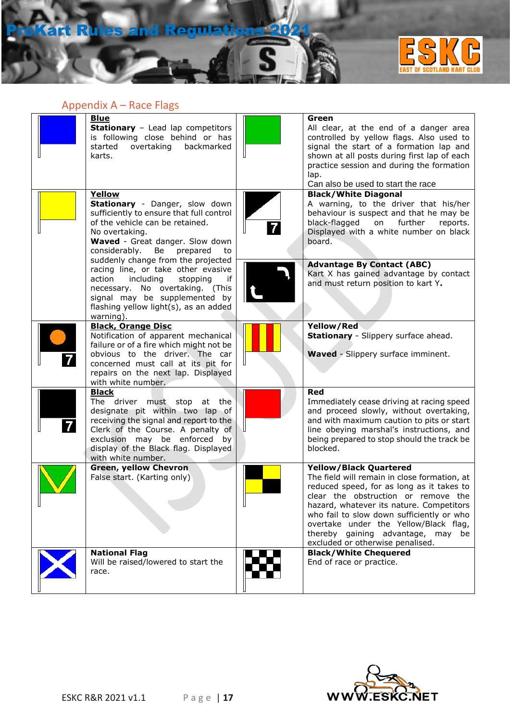**PS and Regulatio** 



### Appendix A – Race Flags

| <b>Blue</b><br><b>Stationary</b> - Lead lap competitors<br>is following close behind or has<br>overtaking<br>backmarked<br>started<br>karts.                                                                                                                | Green<br>All clear, at the end of a danger area<br>controlled by yellow flags. Also used to<br>signal the start of a formation lap and<br>shown at all posts during first lap of each<br>practice session and during the formation<br>lap.<br>Can also be used to start the race                                                                                             |
|-------------------------------------------------------------------------------------------------------------------------------------------------------------------------------------------------------------------------------------------------------------|------------------------------------------------------------------------------------------------------------------------------------------------------------------------------------------------------------------------------------------------------------------------------------------------------------------------------------------------------------------------------|
| Yellow<br>Stationary - Danger, slow down<br>sufficiently to ensure that full control<br>of the vehicle can be retained.<br>No overtaking.<br>Waved - Great danger. Slow down<br>considerably.<br>Be<br>prepared<br>to                                       | <b>Black/White Diagonal</b><br>A warning, to the driver that his/her<br>behaviour is suspect and that he may be<br>black-flagged<br>further<br>on<br>reports.<br>Displayed with a white number on black<br>board.                                                                                                                                                            |
| suddenly change from the projected<br>racing line, or take other evasive<br>action<br>including<br>stopping<br>if<br>necessary. No overtaking. (This<br>signal may be supplemented by<br>flashing yellow light(s), as an added<br>warning).                 | <b>Advantage By Contact (ABC)</b><br>Kart X has gained advantage by contact<br>and must return position to kart Y.                                                                                                                                                                                                                                                           |
| <b>Black, Orange Disc</b><br>Notification of apparent mechanical<br>failure or of a fire which might not be<br>obvious to the driver. The car<br>concerned must call at its pit for<br>repairs on the next lap. Displayed<br>with white number.             | Yellow/Red<br>Stationary - Slippery surface ahead.<br>Waved - Slippery surface imminent.                                                                                                                                                                                                                                                                                     |
| <b>Black</b><br>The driver must stop at the<br>designate pit within two lap of<br>receiving the signal and report to the<br>Clerk of the Course. A penalty of<br>exclusion may be enforced by<br>display of the Black flag. Displayed<br>with white number. | Red<br>Immediately cease driving at racing speed<br>and proceed slowly, without overtaking,<br>and with maximum caution to pits or start<br>line obeying marshal's instructions, and<br>being prepared to stop should the track be<br>blocked.                                                                                                                               |
| <b>Green, yellow Chevron</b><br>False start. (Karting only)                                                                                                                                                                                                 | <b>Yellow/Black Quartered</b><br>The field will remain in close formation, at<br>reduced speed, for as long as it takes to<br>clear the obstruction or remove the<br>hazard, whatever its nature. Competitors<br>who fail to slow down sufficiently or who<br>overtake under the Yellow/Black flag,<br>thereby gaining advantage, may be<br>excluded or otherwise penalised. |
| <b>National Flag</b><br>Will be raised/lowered to start the<br>race.                                                                                                                                                                                        | <b>Black/White Chequered</b><br>End of race or practice.                                                                                                                                                                                                                                                                                                                     |

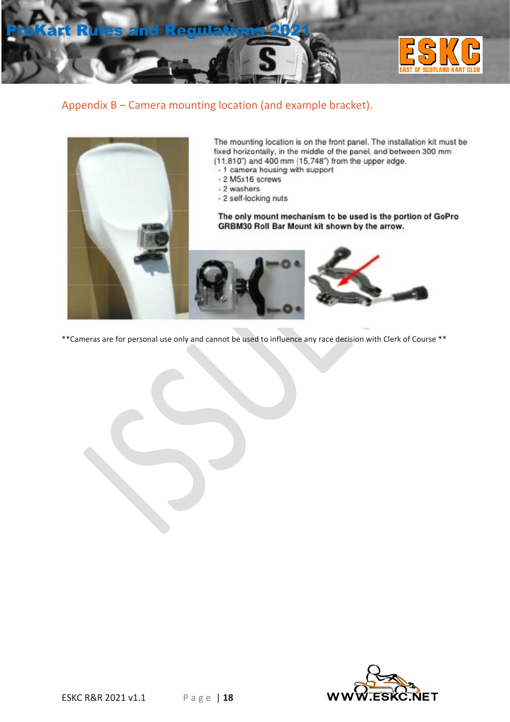

### Appendix B – Camera mounting location (and example bracket).



\*\*Cameras are for personal use only and cannot be used to influence any race decision with Clerk of Course \*\*